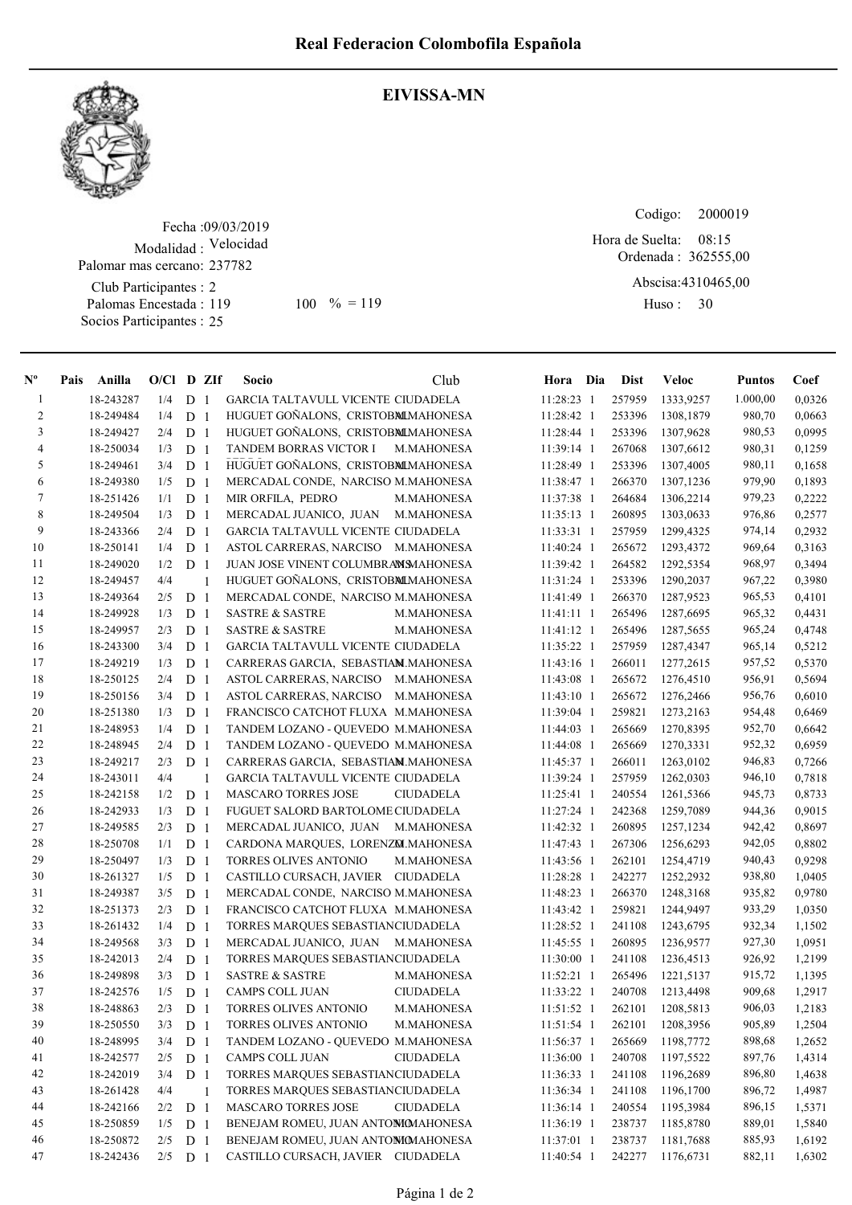

## EIVISSA-MN

Fecha : 09/03/2019 Modalidad : Velocidad Club Participantes : 2 Palomas Encestada : Palomar mas cercano: 237782

Socios Participantes : 25

119 100 % = 119 Huso: 30

Codigo: 

Ordenada : 362555,00 Hora de Suelta: 08:15

Abscisa: 4310465,00 Huso: 30

| $N^{\text{o}}$ | Pais Anilla | $O/Cl$ D ZIf |                |                | Socio                               | Club              | Hora Dia     | <b>Dist</b> | <b>Veloc</b> | <b>Puntos</b> | Coef   |
|----------------|-------------|--------------|----------------|----------------|-------------------------------------|-------------------|--------------|-------------|--------------|---------------|--------|
| $\mathbf{1}$   | 18-243287   | 1/4          | D <sub>1</sub> |                | GARCIA TALTAVULL VICENTE CIUDADELA  |                   | 11:28:23 1   | 257959      | 1333,9257    | 1.000,00      | 0,0326 |
| 2              | 18-249484   | 1/4          | D <sub>1</sub> |                | HUGUET GOÑALONS, CRISTOBMLMAHONESA  |                   | 11:28:42 1   | 253396      | 1308,1879    | 980,70        | 0,0663 |
| 3              | 18-249427   | 2/4          | D              | -1             | HUGUET GOÑALONS, CRISTOBMLMAHONESA  |                   | 11:28:44 1   | 253396      | 1307,9628    | 980,53        | 0,0995 |
| $\overline{4}$ | 18-250034   | 1/3          | D              | $\mathbf{1}$   | TANDEM BORRAS VICTOR I              | <b>M.MAHONESA</b> | 11:39:14 1   | 267068      | 1307,6612    | 980,31        | 0,1259 |
| 5              | 18-249461   | 3/4          | D <sub>1</sub> |                | HUGUET GOÑALONS, CRISTOBMLMAHONESA  |                   | 11:28:49 1   | 253396      | 1307,4005    | 980,11        | 0,1658 |
| 6              | 18-249380   | 1/5          | D              | -1             | MERCADAL CONDE, NARCISO M.MAHONESA  |                   | 11:38:47 1   | 266370      | 1307,1236    | 979,90        | 0,1893 |
| 7              | 18-251426   | 1/1          | D              | -1             | MIR ORFILA, PEDRO                   | <b>M.MAHONESA</b> | 11:37:38 1   | 264684      | 1306,2214    | 979,23        | 0,2222 |
| 8              | 18-249504   | 1/3          | D              | $\overline{1}$ | MERCADAL JUANICO, JUAN              | <b>M.MAHONESA</b> | $11:35:13$ 1 | 260895      | 1303,0633    | 976,86        | 0,2577 |
| 9              | 18-243366   | 2/4          | D              | -1             | GARCIA TALTAVULL VICENTE CIUDADELA  |                   | $11:33:31$ 1 | 257959      | 1299,4325    | 974,14        | 0,2932 |
| 10             | 18-250141   | 1/4          | D              | $\mathbf{1}$   | ASTOL CARRERAS, NARCISO M.MAHONESA  |                   | 11:40:24 1   | 265672      | 1293,4372    | 969,64        | 0,3163 |
| 11             | 18-249020   | 1/2          | D <sub>1</sub> |                | JUAN JOSE VINENT COLUMBRANSMAHONESA |                   | 11:39:42 1   | 264582      | 1292,5354    | 968,97        | 0,3494 |
| 12             | 18-249457   | 4/4          |                | 1              | HUGUET GOÑALONS, CRISTOBMLMAHONESA  |                   | 11:31:24 1   | 253396      | 1290,2037    | 967,22        | 0,3980 |
| 13             | 18-249364   | 2/5          | D <sub>1</sub> |                | MERCADAL CONDE, NARCISO M.MAHONESA  |                   | 11:41:49 1   | 266370      | 1287,9523    | 965,53        | 0,4101 |
| 14             | 18-249928   | 1/3          | D <sub>1</sub> |                | <b>SASTRE &amp; SASTRE</b>          | M.MAHONESA        | $11:41:11$ 1 | 265496      | 1287,6695    | 965,32        | 0,4431 |
| 15             | 18-249957   | 2/3          | D              | -1             | <b>SASTRE &amp; SASTRE</b>          | M.MAHONESA        | 11:41:12 1   | 265496      | 1287,5655    | 965,24        | 0,4748 |
| 16             | 18-243300   | 3/4          | D              | -1             | GARCIA TALTAVULL VICENTE CIUDADELA  |                   | 11:35:22 1   | 257959      | 1287,4347    | 965,14        | 0,5212 |
| 17             | 18-249219   | 1/3          | D              | -1             | CARRERAS GARCIA, SEBASTIAM.MAHONESA |                   | 11:43:16 1   | 266011      | 1277,2615    | 957,52        | 0,5370 |
| 18             | 18-250125   | 2/4          | D              | -1             | ASTOL CARRERAS, NARCISO M.MAHONESA  |                   | 11:43:08 1   | 265672      | 1276,4510    | 956,91        | 0,5694 |
| 19             | 18-250156   | 3/4          | D <sub>1</sub> |                | ASTOL CARRERAS, NARCISO             | <b>M.MAHONESA</b> | 11:43:10 1   | 265672      | 1276,2466    | 956,76        | 0,6010 |
| 20             | 18-251380   | 1/3          | D <sub>1</sub> |                | FRANCISCO CATCHOT FLUXA M.MAHONESA  |                   | 11:39:04 1   | 259821      | 1273,2163    | 954,48        | 0,6469 |
| 21             | 18-248953   | 1/4          | D              | -1             | TANDEM LOZANO - QUEVEDO M.MAHONESA  |                   | 11:44:03 1   | 265669      | 1270,8395    | 952,70        | 0,6642 |
| 22             | 18-248945   | 2/4          | D              | $\mathbf{1}$   | TANDEM LOZANO - QUEVEDO M.MAHONESA  |                   | 11:44:08 1   | 265669      | 1270,3331    | 952,32        | 0,6959 |
| 23             | 18-249217   | 2/3          | D <sub>1</sub> |                | CARRERAS GARCIA, SEBASTIAM.MAHONESA |                   | 11:45:37 1   | 266011      | 1263,0102    | 946,83        | 0,7266 |
| 24             | 18-243011   | 4/4          |                | $\mathbf{1}$   | GARCIA TALTAVULL VICENTE CIUDADELA  |                   | 11:39:24 1   | 257959      | 1262,0303    | 946,10        | 0,7818 |
| 25             | 18-242158   | 1/2          | D <sub>1</sub> |                | <b>MASCARO TORRES JOSE</b>          | <b>CIUDADELA</b>  | 11:25:41 1   | 240554      | 1261,5366    | 945,73        | 0,8733 |
| 26             | 18-242933   | 1/3          | D <sub>1</sub> |                | FUGUET SALORD BARTOLOME CIUDADELA   |                   | 11:27:24 1   | 242368      | 1259,7089    | 944,36        | 0,9015 |
| $27\,$         | 18-249585   | 2/3          | D <sub>1</sub> |                | MERCADAL JUANICO, JUAN              | M.MAHONESA        | 11:42:32 1   | 260895      | 1257,1234    | 942,42        | 0,8697 |
| 28             | 18-250708   | 1/1          | D              | -1             | CARDONA MARQUES, LORENZM.MAHONESA   |                   | 11:47:43 1   | 267306      | 1256,6293    | 942,05        | 0,8802 |
| 29             | 18-250497   | 1/3          | D <sub>1</sub> |                | TORRES OLIVES ANTONIO               | M.MAHONESA        | 11:43:56 1   | 262101      | 1254,4719    | 940,43        | 0,9298 |
| $30\,$         | 18-261327   | 1/5          | D              | -1             | CASTILLO CURSACH, JAVIER CIUDADELA  |                   | 11:28:28 1   | 242277      | 1252,2932    | 938,80        | 1,0405 |
| 31             | 18-249387   | 3/5          | D              | $\overline{1}$ | MERCADAL CONDE, NARCISO M.MAHONESA  |                   | 11:48:23 1   | 266370      | 1248,3168    | 935,82        | 0,9780 |
| 32             | 18-251373   | 2/3          | D              | $\overline{1}$ | FRANCISCO CATCHOT FLUXA M.MAHONESA  |                   | 11:43:42 1   | 259821      | 1244,9497    | 933,29        | 1,0350 |
| 33             | 18-261432   | 1/4          | D              | -1             | TORRES MARQUES SEBASTIANCIUDADELA   |                   | $11:28:52$ 1 | 241108      | 1243,6795    | 932,34        | 1,1502 |
| 34             | 18-249568   | 3/3          | D              | -1             | MERCADAL JUANICO, JUAN              | <b>M.MAHONESA</b> | 11:45:55 1   | 260895      | 1236,9577    | 927,30        | 1,0951 |
| 35             | 18-242013   | 2/4          | D <sub>1</sub> |                | TORRES MARQUES SEBASTIANCIUDADELA   |                   | 11:30:00 1   | 241108      | 1236,4513    | 926,92        | 1,2199 |
| 36             | 18-249898   | 3/3          | D              | -1             | <b>SASTRE &amp; SASTRE</b>          | M.MAHONESA        | 11:52:21 1   | 265496      | 1221,5137    | 915,72        | 1,1395 |
| 37             | 18-242576   | 1/5          | D <sub>1</sub> |                | CAMPS COLL JUAN                     | <b>CIUDADELA</b>  | 11:33:22 1   | 240708      | 1213,4498    | 909,68        | 1,2917 |
| 38             | 18-248863   | 2/3          | D <sub>1</sub> |                | TORRES OLIVES ANTONIO               | M.MAHONESA        | $11:51:52$ 1 | 262101      | 1208,5813    | 906,03        | 1,2183 |
| 39             | 18-250550   | 3/3          | D <sub>1</sub> |                | TORRES OLIVES ANTONIO               | M.MAHONESA        | 11:51:54 1   | 262101      | 1208,3956    | 905,89        | 1,2504 |
| 40             | 18-248995   | 3/4          | D <sub>1</sub> |                | TANDEM LOZANO - QUEVEDO M.MAHONESA  |                   | 11:56:37 1   | 265669      | 1198,7772    | 898,68        | 1,2652 |
| 41             | 18-242577   | 2/5          | D <sub>1</sub> |                | CAMPS COLL JUAN                     | <b>CIUDADELA</b>  | 11:36:00 1   | 240708      | 1197,5522    | 897,76        | 1,4314 |
| 42             | 18-242019   | 3/4          | D <sub>1</sub> |                | TORRES MARQUES SEBASTIANCIUDADELA   |                   | 11:36:33 1   | 241108      | 1196,2689    | 896,80        | 1,4638 |
| 43             | 18-261428   | 4/4          |                | $\overline{1}$ | TORRES MARQUES SEBASTIANCIUDADELA   |                   | $11:36:34$ 1 | 241108      | 1196,1700    | 896,72        | 1,4987 |
| 44             | 18-242166   | 2/2          | D <sub>1</sub> |                | <b>MASCARO TORRES JOSE</b>          | <b>CIUDADELA</b>  | $11:36:14$ 1 | 240554      | 1195,3984    | 896,15        | 1,5371 |
| 45             | 18-250859   | 1/5          | D <sub>1</sub> |                | BENEJAM ROMEU, JUAN ANTOMOMAHONESA  |                   | 11:36:19 1   | 238737      | 1185,8780    | 889,01        | 1,5840 |
| 46             | 18-250872   | 2/5          | D <sub>1</sub> |                | BENEJAM ROMEU, JUAN ANTOMOMAHONESA  |                   | 11:37:01 1   | 238737      | 1181,7688    | 885,93        | 1,6192 |
| 47             | 18-242436   | 2/5          | D <sub>1</sub> |                | CASTILLO CURSACH, JAVIER CIUDADELA  |                   | 11:40:54 1   | 242277      | 1176,6731    | 882,11        | 1,6302 |
|                |             |              |                |                |                                     |                   |              |             |              |               |        |